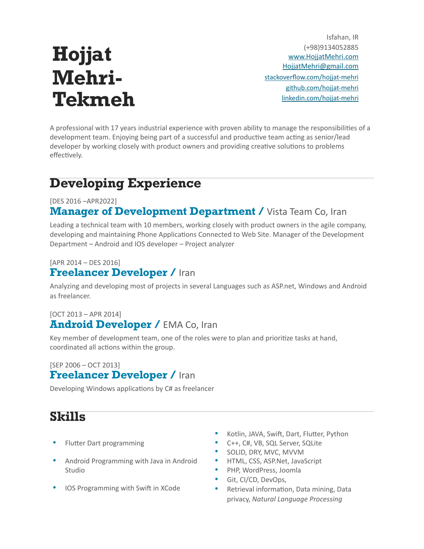# **Hojjat Mehri-Tekmeh**

Isfahan, IR (+98)9134052885 [www.HojjatMehri.com](http://www.hojjatmehri.com/) [HojjatMehri@gmail.com](mailto:hojjatmehri@gmail.com) [stackoverflow.com/hojjat-mehri](https://stackoverflow.com/users/3655578/hojjat-mehri) [github.com/hojjat-mehri](https://github.com/hojjatmehri) [linkedin.com/hojjat-mehri](https://www.linkedin.com/in/hojjat-mehri-tekmeh-a5ab98a8/)

A professional with 17 years industrial experience with proven ability to manage the responsibilities of a development team. Enjoying being part of a successful and productive team acting as senior/lead developer by working closely with product owners and providing creative solutions to problems effectively.

# **Developing Experience**

#### [DES 2016 –APR2022]

### **Manager of Development Department / Vista Team Co, Iran**

Leading a technical team with 10 members, working closely with product owners in the agile company, developing and maintaining Phone Applications Connected to Web Site. Manager of the Development Department – Android and IOS developer – Project analyzer

#### [APR 2014 – DES 2016] **Freelancer Developer /** Iran

Analyzing and developing most of projects in several Languages such as ASP.net, Windows and Android as freelancer.

#### [OCT 2013 – APR 2014] **Android Developer / EMA Co, Iran**

Key member of development team, one of the roles were to plan and prioritize tasks at hand, coordinated all actions within the group.

#### [SEP 2006 – OCT 2013] **Freelancer Developer /** Iran

Developing Windows applications by C# as freelancer

### **Skills**

- Flutter Dart programming
- Android Programming with Java in Android Studio
- IOS Programming with Swift in XCode
- Kotlin, JAVA, Swift, Dart, Flutter, Python
- C++, C#, VB, SQL Server, SQLite
- SOLID, DRY, MVC, MVVM
- HTML, CSS, ASP.Net, JavaScript
- PHP, WordPress, Joomla
- Git, CI/CD, DevOps,
- Retrieval information, Data mining, Data privacy, *Natural Language Processing*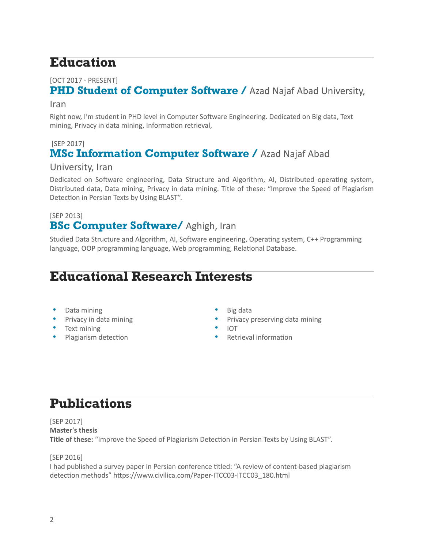# **Education**

#### [OCT 2017 - PRESENT]

### **PHD Student of Computer Software / Azad Najaf Abad University,**

#### Iran

Right now, I'm student in PHD level in Computer Software Engineering. Dedicated on Big data, Text mining, Privacy in data mining, Information retrieval,

#### [SEP 2017] **MSc Information Computer Software / Azad Najaf Abad**

#### University, Iran

Dedicated on Software engineering, Data Structure and Algorithm, AI, Distributed operating system, Distributed data, Data mining, Privacy in data mining. Title of these: "Improve the Speed of Plagiarism Detection in Persian Texts by Using BLAST".

#### [SEP 2013]

### **BSc Computer Software/** Aghigh, Iran

Studied Data Structure and Algorithm, AI, Software engineering, Operating system, C++ Programming language, OOP programming language, Web programming, Relational Database.

## **Educational Research Interests**

- Data mining
- Privacy in data mining
- Text mining
- Plagiarism detection
- Big data
- Privacy preserving data mining
- IOT
- Retrieval information

# **Publications**

[SEP 2017] **Master's thesis Title of these:** "Improve the Speed of Plagiarism Detection in Persian Texts by Using BLAST".

[SEP 2016]

I had published a survey paper in Persian conference titled: "A review of content-based plagiarism detection methods" [https://www.civilica.com/Paper-ITCC03-ITCC03\\_180.html](https://www.civilica.com/Paper-ITCC03-ITCC03_180.html)